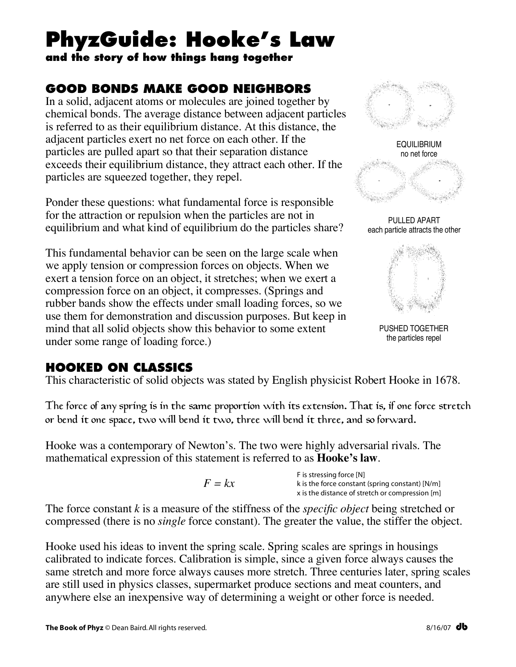# **PhyzGuide: Hooke's Law**

**and the story of how things hang together**

## **GOOD BONDS MAKE GOOD NEIGHBORS**

In a solid, adjacent atoms or molecules are joined together by chemical bonds. The average distance between adjacent particles is referred to as their equilibrium distance. At this distance, the adjacent particles exert no net force on each other. If the particles are pulled apart so that their separation distance exceeds their equilibrium distance, they attract each other. If the particles are squeezed together, they repel.

Ponder these questions: what fundamental force is responsible for the attraction or repulsion when the particles are not in equilibrium and what kind of equilibrium do the particles share?

This fundamental behavior can be seen on the large scale when we apply tension or compression forces on objects. When we exert a tension force on an object, it stretches; when we exert a compression force on an object, it compresses. (Springs and rubber bands show the effects under small loading forces, so we use them for demonstration and discussion purposes. But keep in mind that all solid objects show this behavior to some extent under some range of loading force.)





PULLED APART each particle attracts the other



PUSHED TOGETHER the particles repel

### **HOOKED ON CLASSICS**

This characteristic of solid objects was stated by English physicist Robert Hooke in 1678.

The force of any spring is in the same proportion with its extension. That is, if one force stretch or bend it one space, two will bend it two, three will bend it three, and so forward.

Hooke was a contemporary of Newton's. The two were highly adversarial rivals. The mathematical expression of this statement is referred to as **Hooke's law**.

F is stressing force [N] k is the force constant (spring constant) [N/m] x is the distance of stretch or compression [m]

The force constant *k* is a measure of the stiffness of the *specific object* being stretched or compressed (there is no *single* force constant). The greater the value, the stiffer the object.

Hooke used his ideas to invent the spring scale. Spring scales are springs in housings calibrated to indicate forces. Calibration is simple, since a given force always causes the same stretch and more force always causes more stretch. Three centuries later, spring scales are still used in physics classes, supermarket produce sections and meat counters, and anywhere else an inexpensive way of determining a weight or other force is needed.